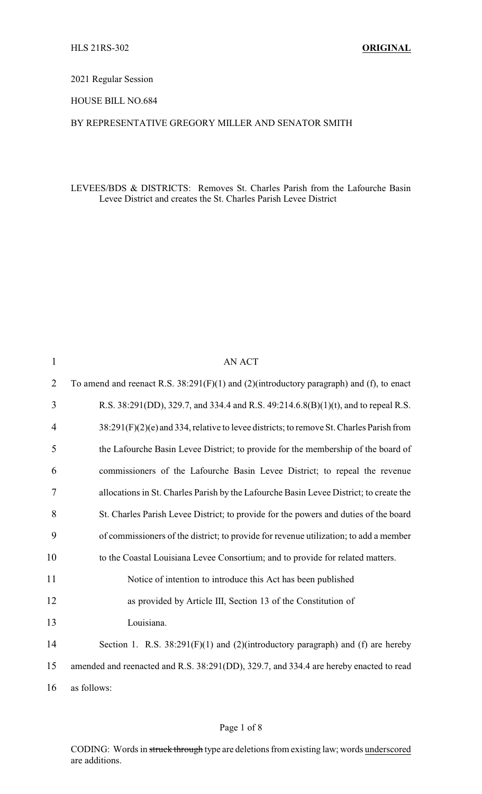# 2021 Regular Session

HOUSE BILL NO.684

## BY REPRESENTATIVE GREGORY MILLER AND SENATOR SMITH

## LEVEES/BDS & DISTRICTS: Removes St. Charles Parish from the Lafourche Basin Levee District and creates the St. Charles Parish Levee District

| $\mathbf{1}$   | <b>AN ACT</b>                                                                                 |
|----------------|-----------------------------------------------------------------------------------------------|
| $\overline{2}$ | To amend and reenact R.S. $38:291(F)(1)$ and $(2)(introducing paragnah)$ and $(f)$ , to enact |
| 3              | R.S. 38:291(DD), 329.7, and 334.4 and R.S. 49:214.6.8(B)(1)(t), and to repeal R.S.            |
| 4              | 38:291(F)(2)(e) and 334, relative to levee districts; to remove St. Charles Parish from       |
| 5              | the Lafourche Basin Levee District; to provide for the membership of the board of             |
| 6              | commissioners of the Lafourche Basin Levee District; to repeal the revenue                    |
| 7              | allocations in St. Charles Parish by the Lafourche Basin Levee District; to create the        |
| 8              | St. Charles Parish Levee District; to provide for the powers and duties of the board          |
| 9              | of commissioners of the district; to provide for revenue utilization; to add a member         |
| 10             | to the Coastal Louisiana Levee Consortium; and to provide for related matters.                |
| 11             | Notice of intention to introduce this Act has been published                                  |
| 12             | as provided by Article III, Section 13 of the Constitution of                                 |
| 13             | Louisiana.                                                                                    |
| 14             | Section 1. R.S. $38:291(F)(1)$ and $(2)(introductory$ paragraph) and (f) are hereby           |
| 15             | amended and reenacted and R.S. 38:291(DD), 329.7, and 334.4 are hereby enacted to read        |
| 16             | as follows:                                                                                   |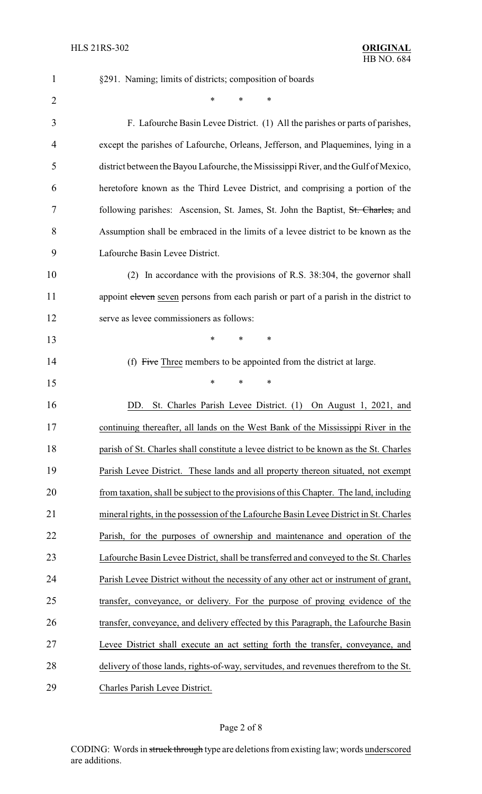| $\mathbf{1}$   | §291. Naming; limits of districts; composition of boards                               |
|----------------|----------------------------------------------------------------------------------------|
| $\overline{2}$ | *<br>*<br>∗                                                                            |
| 3              | F. Lafourche Basin Levee District. (1) All the parishes or parts of parishes,          |
| 4              | except the parishes of Lafourche, Orleans, Jefferson, and Plaquemines, lying in a      |
| 5              | district between the Bayou Lafourche, the Mississippi River, and the Gulf of Mexico,   |
| 6              | heretofore known as the Third Levee District, and comprising a portion of the          |
| 7              | following parishes: Ascension, St. James, St. John the Baptist, St. Charles, and       |
| 8              | Assumption shall be embraced in the limits of a levee district to be known as the      |
| 9              | Lafourche Basin Levee District.                                                        |
| 10             | (2) In accordance with the provisions of R.S. 38:304, the governor shall               |
| 11             | appoint eleven seven persons from each parish or part of a parish in the district to   |
| 12             | serve as levee commissioners as follows:                                               |
| 13             | *<br>*<br>*                                                                            |
| 14             | (f) Five Three members to be appointed from the district at large.                     |
| 15             | *<br>*<br>*                                                                            |
| 16             | DD.<br>St. Charles Parish Levee District. (1) On August 1, 2021, and                   |
| 17             | continuing thereafter, all lands on the West Bank of the Mississippi River in the      |
| 18             | parish of St. Charles shall constitute a levee district to be known as the St. Charles |
| 19             | Parish Levee District. These lands and all property thereon situated, not exempt       |
| 20             | from taxation, shall be subject to the provisions of this Chapter. The land, including |
| 21             | mineral rights, in the possession of the Lafourche Basin Levee District in St. Charles |
| 22             | Parish, for the purposes of ownership and maintenance and operation of the             |
| 23             | Lafourche Basin Levee District, shall be transferred and conveyed to the St. Charles   |
| 24             | Parish Levee District without the necessity of any other act or instrument of grant,   |
| 25             | transfer, conveyance, or delivery. For the purpose of proving evidence of the          |
| 26             | transfer, conveyance, and delivery effected by this Paragraph, the Lafourche Basin     |
| 27             | Levee District shall execute an act setting forth the transfer, conveyance, and        |
| 28             | delivery of those lands, rights-of-way, servitudes, and revenues therefrom to the St.  |
| 29             | Charles Parish Levee District.                                                         |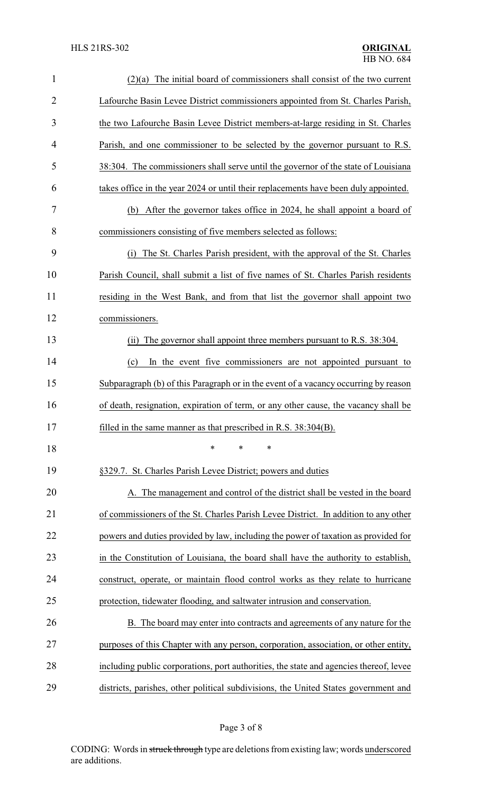| $\mathbf{1}$   | $(2)(a)$ The initial board of commissioners shall consist of the two current           |  |  |
|----------------|----------------------------------------------------------------------------------------|--|--|
| $\overline{2}$ | Lafourche Basin Levee District commissioners appointed from St. Charles Parish,        |  |  |
| 3              | the two Lafourche Basin Levee District members-at-large residing in St. Charles        |  |  |
| $\overline{4}$ | Parish, and one commissioner to be selected by the governor pursuant to R.S.           |  |  |
| 5              | 38:304. The commissioners shall serve until the governor of the state of Louisiana     |  |  |
| 6              | takes office in the year 2024 or until their replacements have been duly appointed.    |  |  |
| 7              | (b) After the governor takes office in 2024, he shall appoint a board of               |  |  |
| 8              | commissioners consisting of five members selected as follows:                          |  |  |
| 9              | The St. Charles Parish president, with the approval of the St. Charles<br>(i)          |  |  |
| 10             | Parish Council, shall submit a list of five names of St. Charles Parish residents      |  |  |
| 11             | residing in the West Bank, and from that list the governor shall appoint two           |  |  |
| 12             | commissioners.                                                                         |  |  |
| 13             | The governor shall appoint three members pursuant to R.S. 38:304.<br>(ii)              |  |  |
| 14             | In the event five commissioners are not appointed pursuant to<br>(c)                   |  |  |
| 15             | Subparagraph (b) of this Paragraph or in the event of a vacancy occurring by reason    |  |  |
| 16             | of death, resignation, expiration of term, or any other cause, the vacancy shall be    |  |  |
| 17             | filled in the same manner as that prescribed in R.S. $38:304(B)$ .                     |  |  |
| 18             | *<br>*<br>*                                                                            |  |  |
| 19             | §329.7. St. Charles Parish Levee District; powers and duties                           |  |  |
| 20             | A. The management and control of the district shall be vested in the board             |  |  |
| 21             | of commissioners of the St. Charles Parish Levee District. In addition to any other    |  |  |
| 22             | powers and duties provided by law, including the power of taxation as provided for     |  |  |
| 23             | in the Constitution of Louisiana, the board shall have the authority to establish,     |  |  |
| 24             | construct, operate, or maintain flood control works as they relate to hurricane        |  |  |
| 25             | protection, tidewater flooding, and saltwater intrusion and conservation.              |  |  |
| 26             | B. The board may enter into contracts and agreements of any nature for the             |  |  |
| 27             | purposes of this Chapter with any person, corporation, association, or other entity,   |  |  |
| 28             | including public corporations, port authorities, the state and agencies thereof, levee |  |  |
| 29             | districts, parishes, other political subdivisions, the United States government and    |  |  |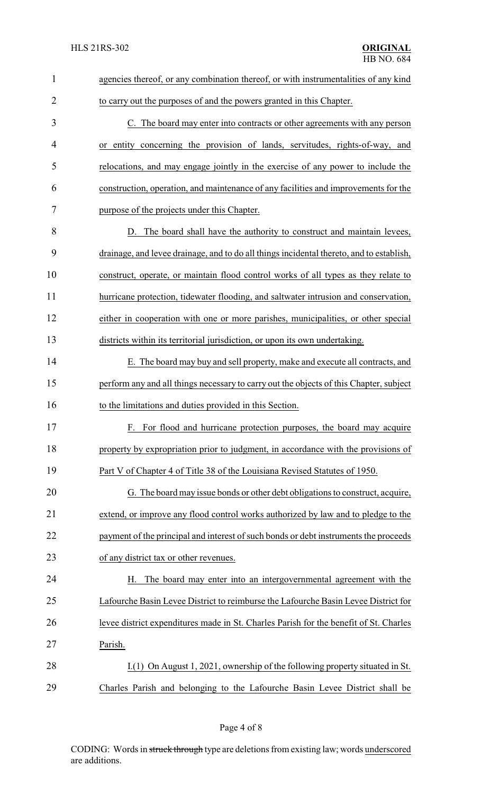| $\mathbf{1}$   | agencies thereof, or any combination thereof, or with instrumentalities of any kind      |  |  |
|----------------|------------------------------------------------------------------------------------------|--|--|
| $\overline{2}$ | to carry out the purposes of and the powers granted in this Chapter.                     |  |  |
| 3              | C. The board may enter into contracts or other agreements with any person                |  |  |
| 4              | or entity concerning the provision of lands, servitudes, rights-of-way, and              |  |  |
| 5              | relocations, and may engage jointly in the exercise of any power to include the          |  |  |
| 6              | construction, operation, and maintenance of any facilities and improvements for the      |  |  |
| 7              | purpose of the projects under this Chapter.                                              |  |  |
| 8              | D. The board shall have the authority to construct and maintain levees,                  |  |  |
| 9              | drainage, and levee drainage, and to do all things incidental thereto, and to establish, |  |  |
| 10             | construct, operate, or maintain flood control works of all types as they relate to       |  |  |
| 11             | hurricane protection, tidewater flooding, and saltwater intrusion and conservation,      |  |  |
| 12             | either in cooperation with one or more parishes, municipalities, or other special        |  |  |
| 13             | districts within its territorial jurisdiction, or upon its own undertaking.              |  |  |
| 14             | E. The board may buy and sell property, make and execute all contracts, and              |  |  |
| 15             | perform any and all things necessary to carry out the objects of this Chapter, subject   |  |  |
| 16             | to the limitations and duties provided in this Section.                                  |  |  |
| 17             | For flood and hurricane protection purposes, the board may acquire<br>F.                 |  |  |
| 18             | property by expropriation prior to judgment, in accordance with the provisions of        |  |  |
| 19             | Part V of Chapter 4 of Title 38 of the Louisiana Revised Statutes of 1950.               |  |  |
| 20             | G. The board may issue bonds or other debt obligations to construct, acquire,            |  |  |
| 21             | extend, or improve any flood control works authorized by law and to pledge to the        |  |  |
| 22             | payment of the principal and interest of such bonds or debt instruments the proceeds     |  |  |
| 23             | of any district tax or other revenues.                                                   |  |  |
| 24             | The board may enter into an intergovernmental agreement with the<br>Н.                   |  |  |
| 25             | Lafourche Basin Levee District to reimburse the Lafourche Basin Levee District for       |  |  |
| 26             | levee district expenditures made in St. Charles Parish for the benefit of St. Charles    |  |  |
| 27             | Parish.                                                                                  |  |  |
| 28             | I.(1) On August 1, 2021, ownership of the following property situated in St.             |  |  |
| 29             | Charles Parish and belonging to the Lafourche Basin Levee District shall be              |  |  |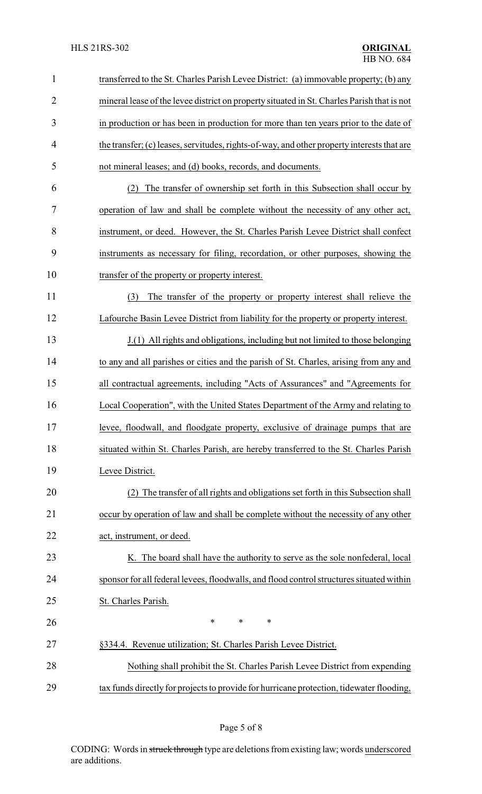| $\mathbf{1}$   | transferred to the St. Charles Parish Levee District: (a) immovable property; (b) any      |  |  |
|----------------|--------------------------------------------------------------------------------------------|--|--|
| $\overline{2}$ | mineral lease of the levee district on property situated in St. Charles Parish that is not |  |  |
| 3              | in production or has been in production for more than ten years prior to the date of       |  |  |
| 4              | the transfer; (c) leases, servitudes, rights-of-way, and other property interests that are |  |  |
| 5              | not mineral leases; and (d) books, records, and documents.                                 |  |  |
| 6              | The transfer of ownership set forth in this Subsection shall occur by<br>(2)               |  |  |
| 7              | operation of law and shall be complete without the necessity of any other act,             |  |  |
| 8              | instrument, or deed. However, the St. Charles Parish Levee District shall confect          |  |  |
| 9              | instruments as necessary for filing, recordation, or other purposes, showing the           |  |  |
| 10             | transfer of the property or property interest.                                             |  |  |
| 11             | (3)<br>The transfer of the property or property interest shall relieve the                 |  |  |
| 12             | Lafourche Basin Levee District from liability for the property or property interest.       |  |  |
| 13             | J.(1) All rights and obligations, including but not limited to those belonging             |  |  |
| 14             | to any and all parishes or cities and the parish of St. Charles, arising from any and      |  |  |
| 15             | all contractual agreements, including "Acts of Assurances" and "Agreements for             |  |  |
| 16             | Local Cooperation", with the United States Department of the Army and relating to          |  |  |
| 17             | levee, floodwall, and floodgate property, exclusive of drainage pumps that are             |  |  |
| 18             | situated within St. Charles Parish, are hereby transferred to the St. Charles Parish       |  |  |
| 19             | Levee District.                                                                            |  |  |
| 20             | (2) The transfer of all rights and obligations set forth in this Subsection shall          |  |  |
| 21             | occur by operation of law and shall be complete without the necessity of any other         |  |  |
| 22             | act, instrument, or deed.                                                                  |  |  |
| 23             | K. The board shall have the authority to serve as the sole nonfederal, local               |  |  |
| 24             | sponsor for all federal levees, floodwalls, and flood control structures situated within   |  |  |
| 25             | St. Charles Parish.                                                                        |  |  |
| 26             | *<br>$\ast$<br>$\ast$                                                                      |  |  |
| 27             | §334.4. Revenue utilization; St. Charles Parish Levee District.                            |  |  |
| 28             | Nothing shall prohibit the St. Charles Parish Levee District from expending                |  |  |
| 29             | tax funds directly for projects to provide for hurricane protection, tidewater flooding,   |  |  |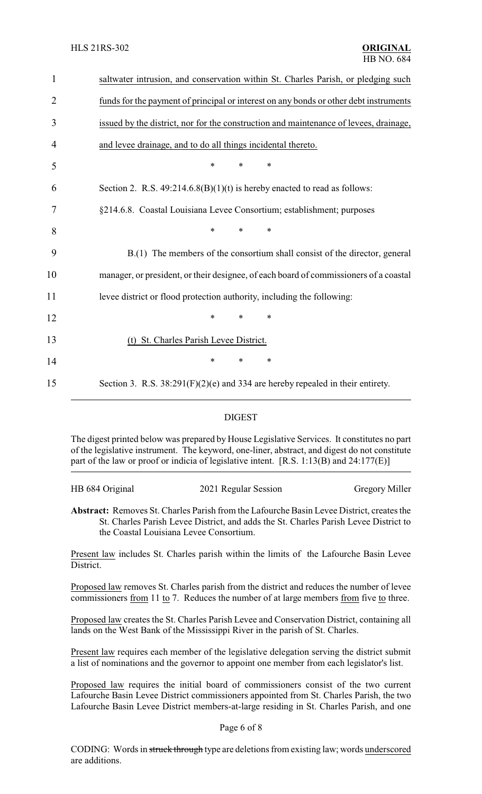| 1              | saltwater intrusion, and conservation within St. Charles Parish, or pledging such     |  |  |
|----------------|---------------------------------------------------------------------------------------|--|--|
| $\overline{2}$ | funds for the payment of principal or interest on any bonds or other debt instruments |  |  |
| 3              | issued by the district, nor for the construction and maintenance of levees, drainage, |  |  |
| 4              | and levee drainage, and to do all things incidental thereto.                          |  |  |
| 5              | $\ast$<br>*<br>*                                                                      |  |  |
| 6              | Section 2. R.S. $49:214.6.8(B)(1)(t)$ is hereby enacted to read as follows:           |  |  |
| 7              | §214.6.8. Coastal Louisiana Levee Consortium; establishment; purposes                 |  |  |
| 8              | $\ast$<br>$\ast$<br>*                                                                 |  |  |
| 9              | B.(1) The members of the consortium shall consist of the director, general            |  |  |
| 10             | manager, or president, or their designee, of each board of commissioners of a coastal |  |  |
| 11             | levee district or flood protection authority, including the following:                |  |  |
| 12             | $\ast$<br>$\ast$<br>$\ast$                                                            |  |  |
| 13             | (t) St. Charles Parish Levee District.                                                |  |  |
| 14             | $\ast$<br>$\ast$<br>$\ast$                                                            |  |  |
| 15             | Section 3. R.S. $38:291(F)(2)(e)$ and 334 are hereby repealed in their entirety.      |  |  |
|                |                                                                                       |  |  |

### DIGEST

The digest printed below was prepared by House Legislative Services. It constitutes no part of the legislative instrument. The keyword, one-liner, abstract, and digest do not constitute part of the law or proof or indicia of legislative intent. [R.S. 1:13(B) and 24:177(E)]

| HB 684 Original | 2021 Regular Session | <b>Gregory Miller</b> |
|-----------------|----------------------|-----------------------|
|                 |                      |                       |

**Abstract:** Removes St. Charles Parish from the Lafourche Basin Levee District, creates the St. Charles Parish Levee District, and adds the St. Charles Parish Levee District to the Coastal Louisiana Levee Consortium.

Present law includes St. Charles parish within the limits of the Lafourche Basin Levee District.

Proposed law removes St. Charles parish from the district and reduces the number of levee commissioners <u>from</u> 11 to 7. Reduces the number of at large members from five to three.

Proposed law creates the St. Charles Parish Levee and Conservation District, containing all lands on the West Bank of the Mississippi River in the parish of St. Charles.

Present law requires each member of the legislative delegation serving the district submit a list of nominations and the governor to appoint one member from each legislator's list.

Proposed law requires the initial board of commissioners consist of the two current Lafourche Basin Levee District commissioners appointed from St. Charles Parish, the two Lafourche Basin Levee District members-at-large residing in St. Charles Parish, and one

#### Page 6 of 8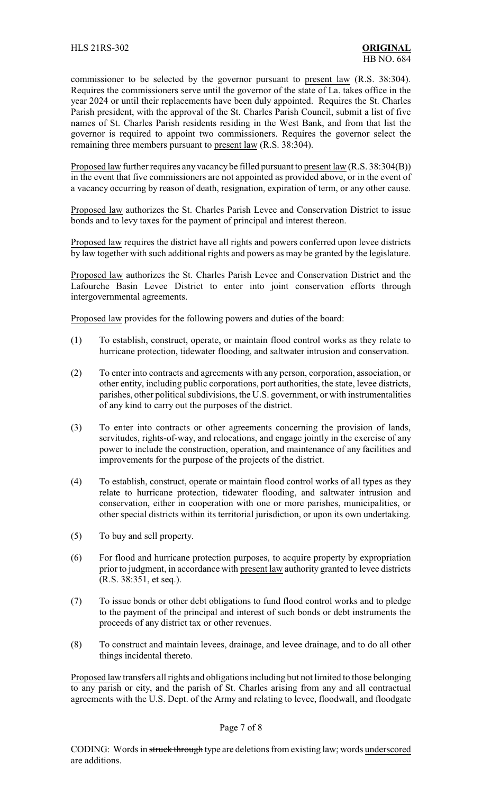commissioner to be selected by the governor pursuant to present law (R.S. 38:304). Requires the commissioners serve until the governor of the state of La. takes office in the year 2024 or until their replacements have been duly appointed. Requires the St. Charles Parish president, with the approval of the St. Charles Parish Council, submit a list of five names of St. Charles Parish residents residing in the West Bank, and from that list the governor is required to appoint two commissioners. Requires the governor select the remaining three members pursuant to present law (R.S. 38:304).

Proposed law further requires any vacancybe filled pursuant to present law (R.S. 38:304(B)) in the event that five commissioners are not appointed as provided above, or in the event of a vacancy occurring by reason of death, resignation, expiration of term, or any other cause.

Proposed law authorizes the St. Charles Parish Levee and Conservation District to issue bonds and to levy taxes for the payment of principal and interest thereon.

Proposed law requires the district have all rights and powers conferred upon levee districts by law together with such additional rights and powers as may be granted by the legislature.

Proposed law authorizes the St. Charles Parish Levee and Conservation District and the Lafourche Basin Levee District to enter into joint conservation efforts through intergovernmental agreements.

Proposed law provides for the following powers and duties of the board:

- (1) To establish, construct, operate, or maintain flood control works as they relate to hurricane protection, tidewater flooding, and saltwater intrusion and conservation.
- (2) To enter into contracts and agreements with any person, corporation, association, or other entity, including public corporations, port authorities, the state, levee districts, parishes, other political subdivisions, the U.S. government, or with instrumentalities of any kind to carry out the purposes of the district.
- (3) To enter into contracts or other agreements concerning the provision of lands, servitudes, rights-of-way, and relocations, and engage jointly in the exercise of any power to include the construction, operation, and maintenance of any facilities and improvements for the purpose of the projects of the district.
- (4) To establish, construct, operate or maintain flood control works of all types as they relate to hurricane protection, tidewater flooding, and saltwater intrusion and conservation, either in cooperation with one or more parishes, municipalities, or other special districts within its territorial jurisdiction, or upon its own undertaking.
- (5) To buy and sell property.
- (6) For flood and hurricane protection purposes, to acquire property by expropriation prior to judgment, in accordance with present law authority granted to levee districts (R.S. 38:351, et seq.).
- (7) To issue bonds or other debt obligations to fund flood control works and to pledge to the payment of the principal and interest of such bonds or debt instruments the proceeds of any district tax or other revenues.
- (8) To construct and maintain levees, drainage, and levee drainage, and to do all other things incidental thereto.

Proposed law transfers all rights and obligations including but not limited to those belonging to any parish or city, and the parish of St. Charles arising from any and all contractual agreements with the U.S. Dept. of the Army and relating to levee, floodwall, and floodgate